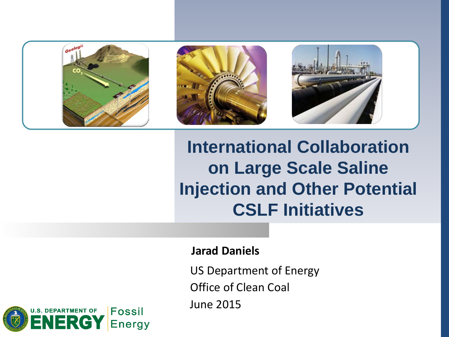





**International Collaboration on Large Scale Saline Injection and Other Potential CSLF Initiatives** 

#### **Jarad Daniels**

US Department of Energy

Office of Clean Coal

June 2015

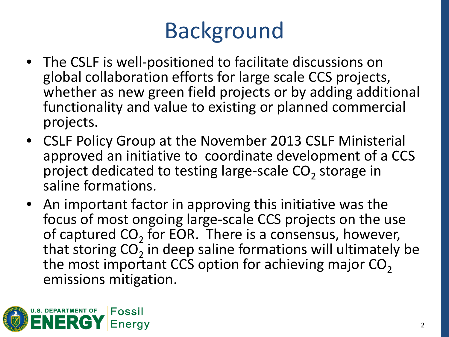# Background

- The CSLF is well-positioned to facilitate discussions on global collaboration efforts for large scale CCS projects, whether as new green field projects or by adding additional functionality and value to existing or planned commercial projects.
- CSLF Policy Group at the November 2013 CSLF Ministerial approved an initiative to coordinate development of a CCS project dedicated to testing large-scale  $CO<sub>2</sub>$  storage in saline formations.
- An important factor in approving this initiative was the focus of most ongoing large-scale CCS projects on the use of captured  $CO<sub>2</sub>$  for EOR. There is a consensus, however, that storing  $CO<sub>2</sub>$  in deep saline formations will ultimately be the most important CCS option for achieving major  $CO<sub>2</sub>$ emissions mitigation.

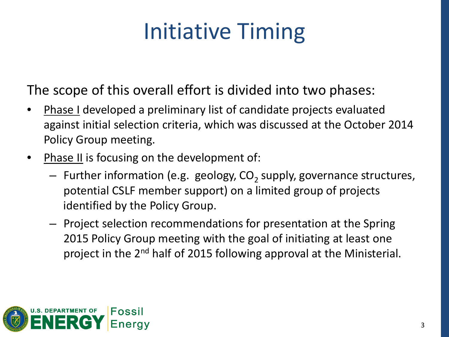# Initiative Timing

The scope of this overall effort is divided into two phases:

- Phase I developed a preliminary list of candidate projects evaluated against initial selection criteria, which was discussed at the October 2014 Policy Group meeting.
- Phase II is focusing on the development of:
	- $-$  Further information (e.g. geology, CO<sub>2</sub> supply, governance structures, potential CSLF member support) on a limited group of projects identified by the Policy Group.
	- Project selection recommendations for presentation at the Spring 2015 Policy Group meeting with the goal of initiating at least one project in the 2nd half of 2015 following approval at the Ministerial.

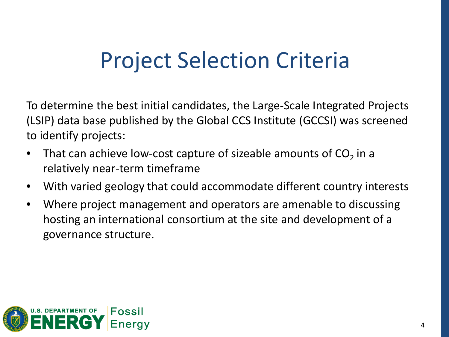#### Project Selection Criteria

To determine the best initial candidates, the Large-Scale Integrated Projects (LSIP) data base published by the Global CCS Institute (GCCSI) was screened to identify projects:

- That can achieve low-cost capture of sizeable amounts of  $CO<sub>2</sub>$  in a relatively near-term timeframe
- With varied geology that could accommodate different country interests
- Where project management and operators are amenable to discussing hosting an international consortium at the site and development of a governance structure.

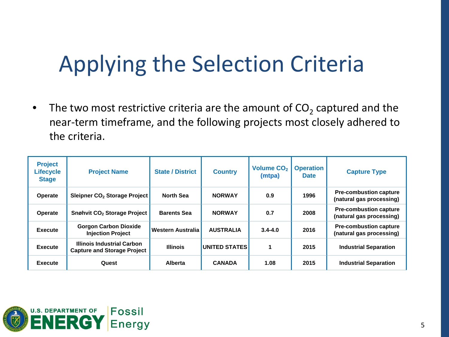### Applying the Selection Criteria

• The two most restrictive criteria are the amount of  $CO<sub>2</sub>$  captured and the near-term timeframe, and the following projects most closely adhered to the criteria.

| <b>Project</b><br><b>Lifecycle</b><br><b>Stage</b> | <b>Project Name</b>                                              | <b>State / District</b> | <b>Country</b>       | <b>Volume CO<sub>2</sub></b><br>(mtpa) | <b>Operation</b><br><b>Date</b> | <b>Capture Type</b>                                       |
|----------------------------------------------------|------------------------------------------------------------------|-------------------------|----------------------|----------------------------------------|---------------------------------|-----------------------------------------------------------|
| <b>Operate</b>                                     | Sleipner CO <sub>2</sub> Storage Project                         | <b>North Sea</b>        | <b>NORWAY</b>        | 0.9                                    | 1996                            | <b>Pre-combustion capture</b><br>(natural gas processing) |
| <b>Operate</b>                                     | <b>Snøhvit CO<sub>2</sub> Storage Project</b>                    | <b>Barents Sea</b>      | <b>NORWAY</b>        | 0.7                                    | 2008                            | <b>Pre-combustion capture</b><br>(natural gas processing) |
| <b>Execute</b>                                     | <b>Gorgon Carbon Dioxide</b><br><b>Injection Project</b>         | Western Australia       | <b>AUSTRALIA</b>     | $3.4 - 4.0$                            | 2016                            | <b>Pre-combustion capture</b><br>(natural gas processing) |
| <b>Execute</b>                                     | Illinois Industrial Carbon<br><b>Capture and Storage Project</b> | <b>Illinois</b>         | <b>UNITED STATES</b> | 1                                      | 2015                            | <b>Industrial Separation</b>                              |
| <b>Execute</b>                                     | Quest                                                            | <b>Alberta</b>          | <b>CANADA</b>        | 1.08                                   | 2015                            | <b>Industrial Separation</b>                              |

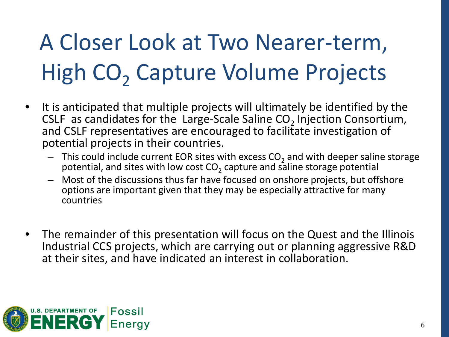# A Closer Look at Two Nearer-term, High CO<sub>2</sub> Capture Volume Projects

- It is anticipated that multiple projects will ultimately be identified by the CSLF as candidates for the Large-Scale Saline  $CO<sub>2</sub>$  Injection Consortium, and CSLF representatives are encouraged to facilitate investigation of potential projects in their countries.
	- $-$  This could include current EOR sites with excess CO<sub>2</sub> and with deeper saline storage potential, and sites with low cost  $CO<sub>2</sub>$  capture and saline storage potential
	- Most of the discussions thus far have focused on onshore projects, but offshore options are important given that they may be especially attractive for many countries
- The remainder of this presentation will focus on the Quest and the Illinois Industrial CCS projects, which are carrying out or planning aggressive R&D at their sites, and have indicated an interest in collaboration.

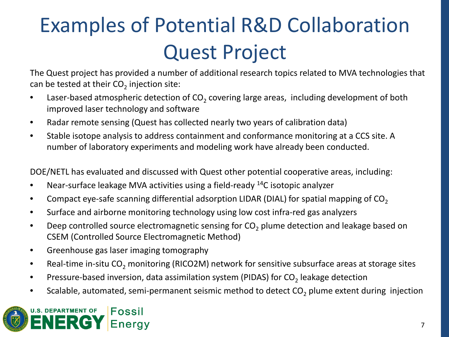### Examples of Potential R&D Collaboration Quest Project

The Quest project has provided a number of additional research topics related to MVA technologies that can be tested at their  $CO<sub>2</sub>$  injection site:

- Laser-based atmospheric detection of  $CO<sub>2</sub>$  covering large areas, including development of both improved laser technology and software
- Radar remote sensing (Quest has collected nearly two years of calibration data)
- Stable isotope analysis to address containment and conformance monitoring at a CCS site. A number of laboratory experiments and modeling work have already been conducted.

DOE/NETL has evaluated and discussed with Quest other potential cooperative areas, including:

- Near-surface leakage MVA activities using a field-ready  $^{14}$ C isotopic analyzer
- Compact eye-safe scanning differential adsorption LIDAR (DIAL) for spatial mapping of  $CO<sub>2</sub>$
- Surface and airborne monitoring technology using low cost infra-red gas analyzers
- Deep controlled source electromagnetic sensing for CO<sub>2</sub> plume detection and leakage based on CSEM (Controlled Source Electromagnetic Method)
- Greenhouse gas laser imaging tomography
- Real-time in-situ CO<sub>2</sub> monitoring (RICO2M) network for sensitive subsurface areas at storage sites
- Pressure-based inversion, data assimilation system (PIDAS) for  $CO<sub>2</sub>$  leakage detection
- Scalable, automated, semi-permanent seismic method to detect  $CO<sub>2</sub>$  plume extent during injection

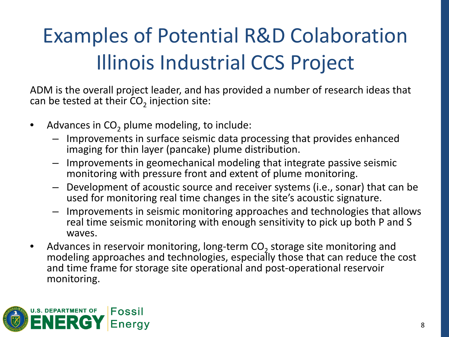#### Examples of Potential R&D Colaboration Illinois Industrial CCS Project

ADM is the overall project leader, and has provided a number of research ideas that can be tested at their  $CO<sub>2</sub>$  injection site:

- Advances in  $CO<sub>2</sub>$  plume modeling, to include:
	- Improvements in surface seismic data processing that provides enhanced imaging for thin layer (pancake) plume distribution.
	- Improvements in geomechanical modeling that integrate passive seismic monitoring with pressure front and extent of plume monitoring.
	- Development of acoustic source and receiver systems (i.e., sonar) that can be used for monitoring real time changes in the site's acoustic signature.
	- Improvements in seismic monitoring approaches and technologies that allows real time seismic monitoring with enough sensitivity to pick up both P and S waves.
- Advances in reservoir monitoring, long-term  $CO<sub>2</sub>$  storage site monitoring and modeling approaches and technologies, especially those that can reduce the cost and time frame for storage site operational and post-operational reservoir monitoring.

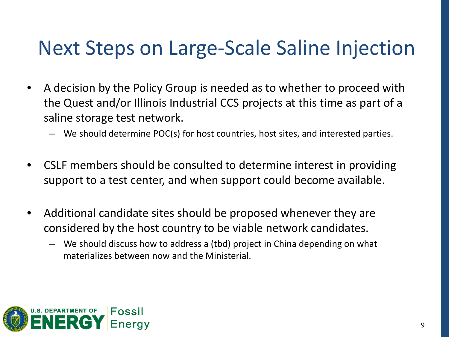#### Next Steps on Large-Scale Saline Injection

- A decision by the Policy Group is needed as to whether to proceed with the Quest and/or Illinois Industrial CCS projects at this time as part of a saline storage test network.
	- We should determine POC(s) for host countries, host sites, and interested parties.
- CSLF members should be consulted to determine interest in providing support to a test center, and when support could become available.
- Additional candidate sites should be proposed whenever they are considered by the host country to be viable network candidates.
	- We should discuss how to address a (tbd) project in China depending on what materializes between now and the Ministerial.

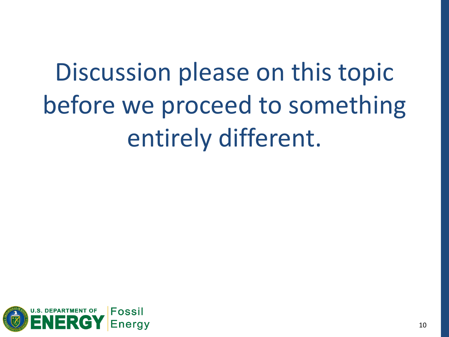Discussion please on this topic before we proceed to something entirely different.

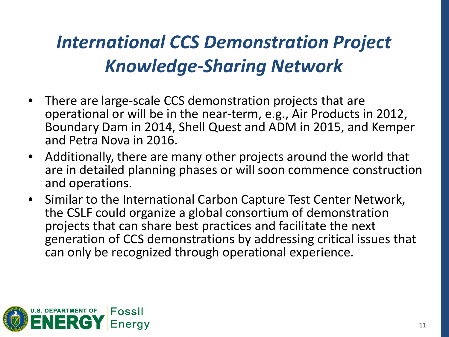#### *International CCS Demonstration Project Knowledge-Sharing Network*

- There are large-scale CCS demonstration projects that are operational or will be in the near-term, e.g., Air Products in 2012, Boundary Dam in 2014, Shell Quest and ADM in 2015, and Kemper and Petra Nova in 2016.
- Additionally, there are many other projects around the world that are in detailed planning phases or will soon commence construction and operations.
- Similar to the International Carbon Capture Test Center Network, the CSLF could organize a global consortium of demonstration projects that can share best practices and facilitate the next generation of CCS demonstrations by addressing critical issues that can only be recognized through operational experience.

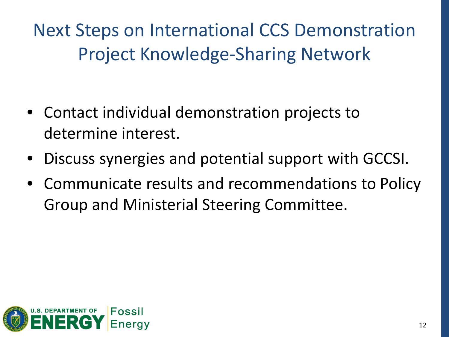Next Steps on International CCS Demonstration Project Knowledge-Sharing Network

- Contact individual demonstration projects to determine interest.
- Discuss synergies and potential support with GCCSI.
- Communicate results and recommendations to Policy Group and Ministerial Steering Committee.

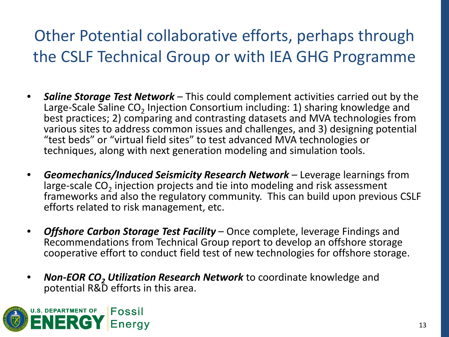#### Other Potential collaborative efforts, perhaps through the CSLF Technical Group or with IEA GHG Programme

- *Saline Storage Test Network* This could complement activities carried out by the Large-Scale Saline  $CO<sub>2</sub>$  Injection Consortium including: 1) sharing knowledge and best practices; 2) comparing and contrasting datasets and MVA technologies from various sites to address common issues and challenges, and 3) designing potential "test beds" or "virtual field sites" to test advanced MVA technologies or techniques, along with next generation modeling and simulation tools.
- *Geomechanics/Induced Seismicity Research Network* Leverage learnings from large-scale CO<sub>2</sub> injection projects and tie into modeling and risk assessment frameworks and also the regulatory community. This can build upon previous CSLF efforts related to risk management, etc.
- *Offshore Carbon Storage Test Facility* Once complete, leverage Findings and Recommendations from Technical Group report to develop an offshore storage cooperative effort to conduct field test of new technologies for offshore storage.
- **Non-EOR CO<sub>2</sub> Utilization Research Network** to coordinate knowledge and potential R&D efforts in this area.